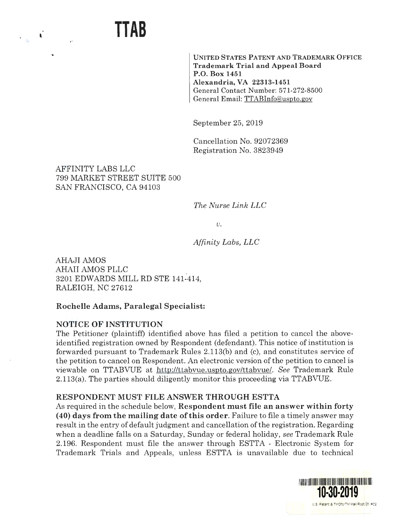

**UNITED STATES PATENT AND TRADEMARK OFFICE Trademark Trial and Appeal Board P.O. Box 1451 Alexandria, VA 22313-1451**  General Contact Number: 571-272-8500 General Email: TTABinfo@uspto.gov

September 25, 2019

Cancellation No. 92072369 Registration No. 3823949

AFFINITY LABS LLC 799 MARKET STREET SUITE 500 SAN FRANCISCO, CA 94103

*The Nurse Link LLC* 

*V.* 

*Affinity Labs, LLC* 

AHAJI AMOS AHAII AMOS PLLC 3201 EDWARDS MILL RD STE 141-414, RALEIGH, NC 27612

# **Rochelle Adams, Paralegal Specialist:**

### **NOTICE OF INSTITUTION**

The Petitioner (plaintiff) identified above has filed a petition to cancel the aboveidentified registration owned by Respondent (defendant). This notice of institution is forwarded pursuant to Trademark Rules 2.113(b) and (c), and constitutes service of the petition to cancel on Respondent. An electronic version of the petition to cancel is viewable on TTABVUE at http://ttabvue.uspto.gov/ttabvue/. *See* Trademark Rule 2.113(a). The parties should diligently monitor this proceeding via TTABVUE.

### **RESPONDENT MUST FILE ANSWER THROUGH ESTTA**

As required in the schedule below, **Respondent must file an answer within forty (40) days from the mailing date of this order.** Failure to file a timely answer may result in the entry of default judgment and cancellation of the registration. Regarding when a deadline falls on a Saturday, Sunday or federal holiday, *see* Trademark Rule 2.196. Respondent must file the answer through ESTTA - Electronic System for Trademark Trials and Appeals, unless ESTTA is unavailable due to technical

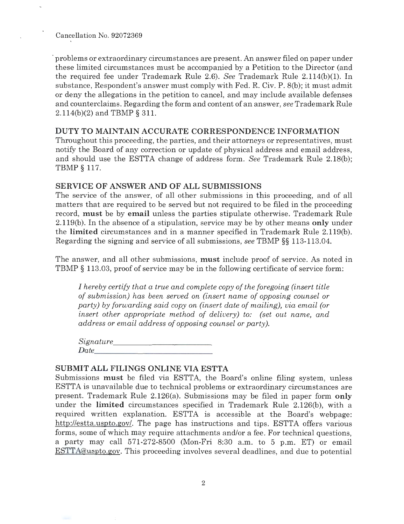Cancellation No. 92072369

' problems or extraordinary circumstances are present. An answer filed on paper under these limited circumstances must be accompanied by a Petition to the Director (and the required fee under Trademark Rule 2.6). *See* Trademark Rule 2.114(b)(l). In substance, Respondent's answer must comply with Fed. R. Civ. P. 8(b); it must admit or deny the allegations in the petition to cancel, and may include available defenses and counterclaims. Regarding the form and content of an answer, *see* Trademark Rule 2.114(b)(2) and TBMP § 311.

### **DUTY TO MAINTAIN ACCURATE CORRESPONDENCE INFORMATION**

Throughout this proceeding, the parties, and their attorneys or representatives, must notify the Board of any correction or update of physical address and email address, and should use the ESTTA change of address form. *See* Trademark Rule 2.18(b); TBMP § 117.

# **SERVICE OF ANSWER AND OF ALL SUBMISSIONS**

The service of the answer, of all other submissions in this proceeding, and of all matters that are required to be served but not required to be filed in the proceeding record, **must** be by **email** unless the parties stipulate otherwise. Trademark Rule 2.119(b). In the absence of a stipulation, service may be by other means **only** under the **limited** circumstances and in a manner specified in Trademark Rule 2.119(b). Regarding the signing and service of all submissions, *see* TBMP §§ 113-113.04.

The answer, and all other submissions, **must** include proof of service. As noted in TBMP § 113.03, proof of service may be in the following certificate of service form:

*I hereby certify that a true and complete copy of the foregoing (insert title of submission) has been served on (insert name of opposing counsel or party) by forwarding said copy on (insert date of mailing), via email (or insert other appropriate method of delivery) to: (set out name, and address or email address of opposing counsel or party).* 

*Signature \_\_\_\_\_\_\_\_\_\_\_ \_ Date \_\_\_\_\_\_\_\_\_\_\_\_ \_* 

# **SUBMIT ALL FILINGS ONLINE VIA ESTTA**

Submissions **must** be filed via ESTTA, the Board's online filing system, unless ESTTA is unavailable due to technical problems or extraordinary circumstances are present. Trademark Rule 2.126(a). Submissions may be filed in paper form **only**  under the **limited** circumstances specified in Trademark Rule 2.126(b), with a required written explanation. ESTTA is accessible at the Board's webpage: http://estta.uspto.gov/. The page has instructions and tips. ESTTA offers various forms, some of which may require attachments and/or a fee. For technical questions, a party may call 571-272-8500 (Mon-Fri 8:30 a.m. to 5 p.m. ET) or email ESTTA@uspto.gov. This proceeding involves several deadlines, and due to potential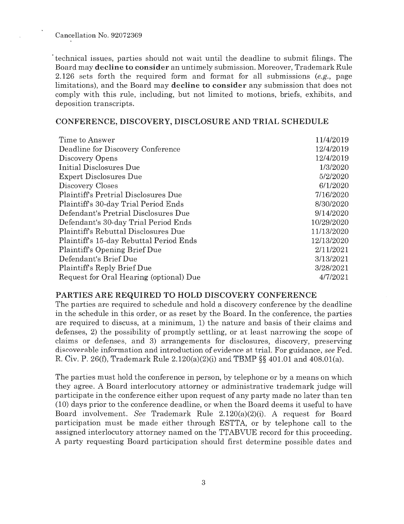Cancellation No. 92072369

· technical issues, parties should not wait until the deadline to submit filings. The Board may **decline to consider** an untimely submission. Moreover, Trademark Rule 2.126 sets forth the required form and format for all submissions (e.g., page limitations), and the Board may **decline to consider** any submission that does not comply with this rule, including, but not limited to motions, briefs, exhibits, and deposition transcripts.

#### **CONFERENCE, DISCOVERY, DISCLOSURE AND TRIAL SCHEDULE**

| Time to Answer                              | 11/4/2019  |
|---------------------------------------------|------------|
| Deadline for Discovery Conference           | 12/4/2019  |
| Discovery Opens                             | 12/4/2019  |
| Initial Disclosures Due                     | 1/3/2020   |
| <b>Expert Disclosures Due</b>               | 5/2/2020   |
| Discovery Closes                            | 6/1/2020   |
| <b>Plaintiff's Pretrial Disclosures Due</b> | 7/16/2020  |
| Plaintiff's 30-day Trial Period Ends        | 8/30/2020  |
| Defendant's Pretrial Disclosures Due        | 9/14/2020  |
| Defendant's 30-day Trial Period Ends        | 10/29/2020 |
| <b>Plaintiff's Rebuttal Disclosures Due</b> | 11/13/2020 |
| Plaintiff's 15-day Rebuttal Period Ends     | 12/13/2020 |
| <b>Plaintiffs Opening Brief Due</b>         | 2/11/2021  |
| Defendant's Brief Due                       | 3/13/2021  |
| Plaintiff's Reply Brief Due                 | 3/28/2021  |
| Request for Oral Hearing (optional) Due     | 4/7/2021   |

#### **PARTIES ARE REQUIRED TO HOLD DISCOVERY CONFERENCE**

The parties are required to schedule and hold a discovery conference by the deadline in the schedule in this order, or as reset by the Board. In the conference, the parties are required to discuss, at a minimum, 1) the nature and basis of their claims and defenses, 2) the possibility of promptly settling, or at least narrowing the scope of claims or defenses, and 3) arrangements for disclosures, discovery, preserving discoverable information and introduction of evidence at trial. For guidance, *see* Fed. R. Civ. P. 26(£), Trademark Rule 2.120(a)(2)(i) and TBMP §§ 401.01 and 408.0l(a).

The parties must hold the conference in person, by telephone or by a means on which they agree . A Board interlocutory attorney or administrative trademark judge will participate in the conference either upon request of any party made no later than ten (10) days prior to the conference deadline, or when the Board deems it useful to have Board involvement. *See* Trademark Rule 2.120(a)(2)(i). A request for Board participation must be made either through ESTTA, or by telephone call to the assigned interlocutory attorney named on the TTABVUE record for this proceeding. A party requesting Board participation should first determine possible dates and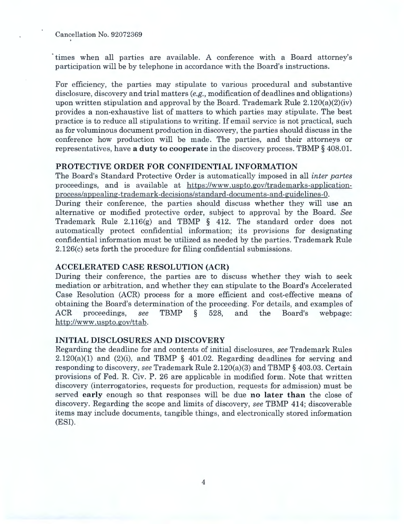Cancellation No. 92072369

· times when all parties are available. A conference with a Board attorney's participation will be by telephone in accordance with the Board's instructions.

For efficiency, the parties may stipulate to various procedural and substantive disclosure, discovery and trial matters  $(e.g., \text{ modification of deadlines and obligations})$ upon written stipulation and approval by the Board. Trademark Rule  $2.120(a)(2)(iv)$ provides a non-exhaustive list of matters to which parties may stipulate. The best practice is to reduce all stipulations to writing. If email service is not practical, such as for voluminous document production in discovery, the parties should discuss in the conference how production will be made. The parties, and their attorneys or representatives, have **a duty to cooperate** in the discovery process. TBMP § 408.01.

#### **PROTECTIVE ORDER FOR CONFIDENTIAL INFORMATION**

The Board's Standard Protective Order is automatically imposed in all *inter partes*  proceedings, and is available at https://www.uspto.gov/trademarks-applicationprocess/appealing-trademark-decisions/standard-documents-and-guidelines-O. During their conference, the parties should discuss whether they will use an alternative or modified protective order, subject to approval by the Board. *See*  Trademark Rule 2.116(g) and TBMP  $\S$  412. The standard order does not automatically protect confidential information; its provisions for designating confidential information must be utilized as needed by the parties. Trademark Rule 2.126(c) sets forth the procedure for filing confidential submissions.

#### **ACCELERATED CASE RESOLUTION (ACR)**

During their conference, the parties are to discuss whether they wish to seek mediation or arbitration, and whether they can stipulate to the Board's Accelerated Case Resolution (ACR) process for a more efficient and cost-effective means of obtaining the Board's determination of the proceeding. For details, and examples of ACR proceedings, *see* TBMP § 528, and the Board's webpage: http://www.uspto.gov/ttab.

### **INITIAL DISCLOSURES AND DISCOVERY**

Regarding the deadline for and contents of initial disclosures, *see* Trademark Rules  $2.120(a)(1)$  and  $(2)(i)$ , and TBMP § 401.02. Regarding deadlines for serving and responding to discovery, *see* Trademark Rule 2.120(a)(3) and TBMP § 403.03. Certain provisions of Fed. R. Civ. P. 26 are applicable in modified form. Note that written discovery (interrogatories, requests for production, requests for admission) must be served **early** enough so that responses will be due **no later than** the close of discovery. Regarding the scope and limits of discovery, *see* TBMP 414; discoverable items may include documents, tangible things, and electronically stored information (ESI).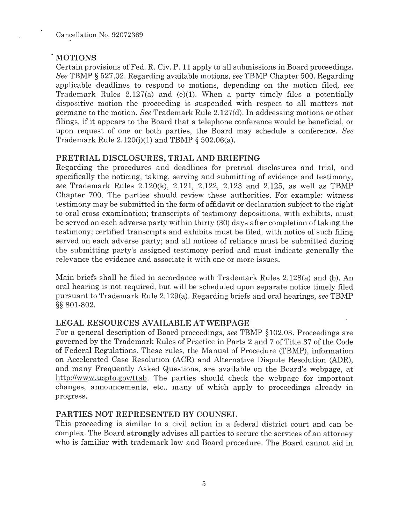# . **MOTIONS**

Certain provisions of Fed. R. Civ. P. 11 apply to all submissions in Board proceedings. *See* TBMP § 527.02. Regarding available motions, *see* TBMP Chapter 500. Regarding applicable deadlines to respond to motions, depending on the motion filed, *see*  Trademark Rules 2.127(a) and (e)(l). When a party timely files a potentially dispositive motion the proceeding is suspended with respect to all matters not germane to the motion. *See* Trademark Rule 2.127(d). In addressing motions or other filings, if it appears to the Board that a telephone conference would be beneficial, or upon request of one or both parties, the Board may schedule a conference. *See*  Trademark Rule  $2.120(j)(1)$  and TBMP § 502.06(a).

# **PRETRIAL DISCLOSURES, TRIAL AND BRIEFING**

Regarding the procedures and deadlines for pretrial disclosures and trial, and specifically the noticing, taking, serving and submitting of evidence and testimony, *see* Trademark Rules 2.120(k), 2.121, 2.122, 2.123 and 2.125, as well as TBMP Chapter 700. The parties should review these authorities. For example: witness testimony may be submitted in the form of affidavit or declaration subject to the right to oral cross examination; transcripts of testimony depositions, with exhibits, must be served on each adverse party within thirty (30) days after completion of taking the testimony; certified transcripts and exhibits must be filed, with notice of such filing served on each adverse party; and all notices of reliance must be submitted during the submitting party's assigned testimony period and must indicate generally the relevance the evidence and associate it with one or more issues.

Main briefs shall be filed in accordance with Trademark Rules 2.128(a) and (b). An oral hearing is not required, but will be scheduled upon separate notice timely filed pursuant to Trademark Rule 2.129(a). Regarding briefs and oral hearings, *see* TBMP §§ 801-802.

# **LEGAL RESOURCES AVAILABLE AT WEBPAGE**

For a general description of Board proceedings, *see* TBMP § 102.03. Proceedings are governed by the Trademark Rules of Practice in Parts 2 and 7 of Title 37 of the Code of Federal Regulations. These rules, the Manual of Procedure (TBMP), information on Accelerated Case Resolution (ACR) and Alternative Dispute Resolution (ADR), and many Frequently Asked Questions, are available on the Board's webpage, at http://www.uspto.gov/ttab. The parties should check the webpage for important changes, announcements, etc., many of which apply to proceedings already in progress.

### **PARTIES NOT REPRESENTED BY COUNSEL**

This proceeding is similar to a civil action in a federal district court and can be complex. The Board **strongly** advises all parties to secure the services of an attorney who is familiar with trademark law and Board procedure. The Board cannot aid in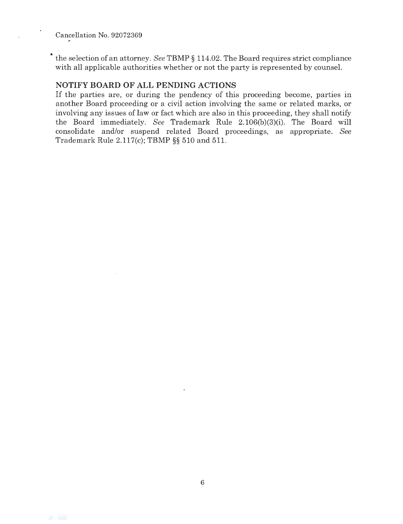• the selection of an attorney. *See* TBMP § 114.02. The Board requires strict compliance with all applicable authorities whether or not the party is represented by counsel.

### **NOTIFY BOARD OF ALL PENDING ACTIONS**

If the parties are, or during the pendency of this proceeding become, parties in another Board proceeding or a civil action involving the same or related marks, or involving any issues of law or fact which are also in this proceeding, they shall notify the Board immediately. *See* Trademark Rule 2.106(b)(3)(i). The Board will consolidate and/or suspend related Board proceedings, as appropriate. *See*  Trademark Rule 2.117(c); TBMP §§ 510 and 511.